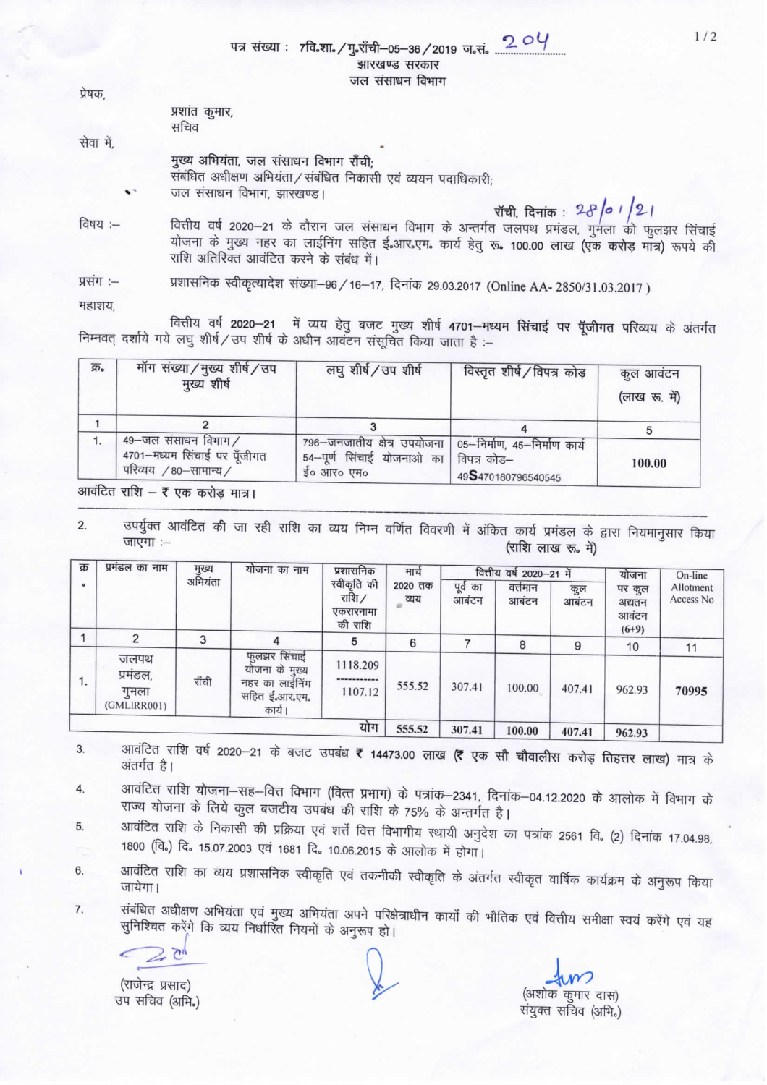$204$ पत्र संख्या : 7वि.शा. / मृ.शँची-05-36 / 2019 ज.सं. झारखण्ड सरकार जल संसाधन विभाग

प्रेषक. प्रशांत कुमार, सचिव सेवा में. मुख्य अभियंता, जल संसाधन विभाग राँची; संबंधित अधीक्षण अभियंता / संबंधित निकासी एवं व्ययन पदाधिकारी: जल संसाधन विभाग, झारखण्ड। रॉची, दिनांक:  $28/01/21$ वित्तीय वर्ष 2020-21 के दौरान जल संसाधन विभाग के अन्तर्गत जलपथ प्रमंडल, गुमला को फुलझर सिंचाई विषय :-योजना के मुख्य नहर का लाईनिंग सहित ई आर एम. कार्य हेतु रू. 100.00 लाख (एक करोड़ मात्र) रूपये की राशि अतिरिक्त आवंटित करने के संबंध में।

प्रशासनिक स्वीकृत्यादेश संख्या–96 / 16–17, दिनांक 29.03.2017 (Online AA- 2850/31.03.2017) प्रसंग :--

महाशय

वित्तीय वर्ष 2020-21 में व्यय हेतु बजट मुख्य शीर्ष 4701-मध्यम सिंचाई पर पूॅजीगत परिव्यय के अंतर्गत निम्नवत् दर्शाये गये लघु शीर्ष/उप शीर्ष के अधीन आवंटन संसूचित किया जाता है :-

| क्र. | मॉग संख्या/मुख्य शीर्ष/उप<br>मुख्य शीर्ष                                    | लघु शीर्ष/उप शीर्ष                                                       | विस्तृत शीर्ष / विपत्र कोड़                                       | कुल आवंटन<br>(लाख रू. में) |
|------|-----------------------------------------------------------------------------|--------------------------------------------------------------------------|-------------------------------------------------------------------|----------------------------|
|      |                                                                             |                                                                          |                                                                   |                            |
| 1.   | 49-जल संसाधन विभाग/<br>4701-मध्यम सिंचाई पर पूँजीगत<br>परिव्यय /80-सामान्य/ | 796-जनजातीय क्षेत्र उपयोजना  <br>54-पूर्ण सिंचाई योजनाओ का<br>ई० आर० एम० | 05-निर्माण, 45-निर्माण कार्य<br>विपत्र कोड–<br>49S470180796540545 | 100.00                     |

आवंटित राशि – ₹ एक करोड़ मात्र।

उपर्युक्त आवंटित की जा रही राशि का व्यय निम्न वर्णित विवरणी में अंकित कार्य प्रमंडल के द्वारा नियमानुसार किया  $2.$ जाएगा :-(राशि लाख रू. में)

| क्र | प्रमंडल का नाम                           | मुख्य<br>अभियंता | योजना का नाम                                                                | प्रशासनिक<br>स्वीकृति की<br>राशि $/$<br>एकरारनामा<br>की राशि | मार्च<br>2020 तक<br>व्यय | वित्तीय वर्ष 2020-21 में |                   |             | योजना                                | On-line                |
|-----|------------------------------------------|------------------|-----------------------------------------------------------------------------|--------------------------------------------------------------|--------------------------|--------------------------|-------------------|-------------|--------------------------------------|------------------------|
|     |                                          |                  |                                                                             |                                                              |                          | पूर्व का<br>आबंटन        | वत्तेमान<br>आबंटन | कुल<br>आबटन | पर कुल<br>अद्यतन<br>आवंटन<br>$(6+9)$ | Allotment<br>Access No |
|     | 2                                        | 3                |                                                                             | 5                                                            | 6                        |                          | 8                 | 9           | 10                                   |                        |
| 1.  | जलपथ<br>प्रमंडल,<br>गुमला<br>(GMLIRR001) | राँची            | फलझर सिंचाई<br>योजना के मुख्य<br>नहर का लाईनिंग<br>सहित ई.आर.एम.<br>कार्य । | 1118.209<br>------------<br>1107.12                          | 555.52                   | 307.41                   | 100.00            | 407.41      | 962.93                               | 11<br>70995            |
|     |                                          |                  |                                                                             | योग                                                          | 555.52                   | 307.41                   | 100.00            | 407.41      | 062.02                               |                        |

आवंटित राशि वर्ष 2020-21 के बजट उपबंध ₹ 14473.00 लाख (₹ एक सौ चौवालीस करोड़ तिहत्तर लाख) मात्र के 3. अंतर्गत है।

- आवंटित राशि योजना–सह–वित्त विभाग (वित्त प्रभाग) के पत्रांक–2341, दिनांक–04.12.2020 के आलोक में विभाग के  $4.$ राज्य योजना के लिये कुल बजटीय उपबंध की राशि के 75% के अन्तर्गत है।
- आवंटित राशि के निकासी की प्रक्रिया एवं शर्त्तें वित्त विभागीय स्थायी अनुदेश का पत्रांक 2561 वि. (2) दिनांक 17.04.98, 5. 1800 (वि.) दि. 15.07.2003 एवं 1681 दि. 10.06.2015 के आलोक में होगा।
- आवंटित राशि का व्यय प्रशासनिक स्वीकृति एवं तकनीकी स्वीकृति के अंतर्गत स्वीकृत वार्षिक कार्यक्रम के अनुरूप किया 6. जायेगा।
- संबंधित अधीक्षण अभियंता एवं मुख्य अभियंता अपने परिक्षेत्राधीन कार्यों की भौतिक एवं वित्तीय समीक्षा स्वयं करेंगे एवं यह 7. सुनिश्चित करेंगे कि व्यय निर्धारित नियमों के अनुरूप हो।

 $\overline{C}$ 

(राजेन्द्र प्रसाद) उप सचिव (अभि.)

(अशोक कुमार दास) संयुक्त सचिव (अभि.)